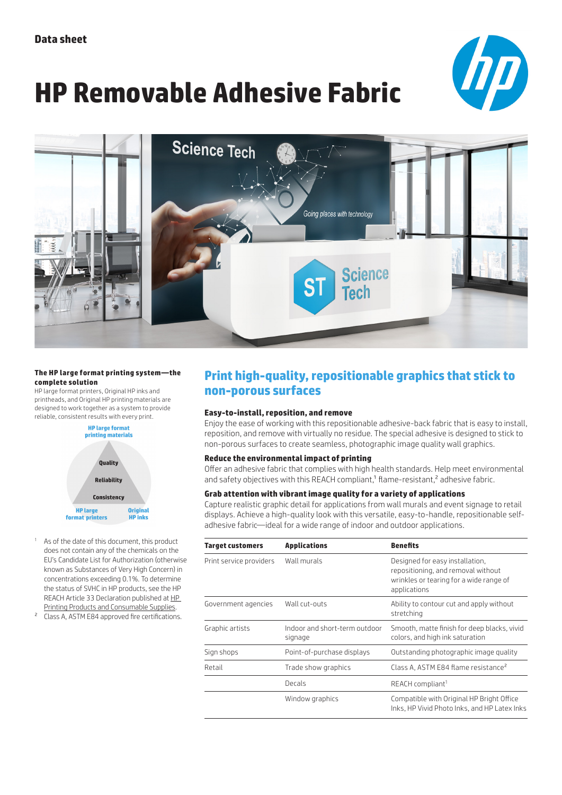# **HP Removable Adhesive Fabric**





#### **The HP large format printing system—the complete solution**

HP large format printers, Original HP inks and printheads, and Original HP printing materials are designed to work together as a system to provide reliable, consistent results with every print.



- As of the date of this document, this product does not contain any of the chemicals on the EU's Candidate List for Authorization (otherwise known as Substances of Very High Concern) in concentrations exceeding 0.1%. To determine the status of SVHC in HP products, see the HP REACH Article 33 Declaration published at [HP](http://h22235.www2.hp.com/hpinfo/globalcitizenship/environment/productdata/reachall-products.html)  [Printing Products and Consumable Supplies.](http://h22235.www2.hp.com/hpinfo/globalcitizenship/environment/productdata/reachall-products.html)
- 2 Class A, ASTM E84 approved fire certifications.

### **Print high-quality, repositionable graphics that stick to non-porous surfaces**

#### **Easy-to-install, reposition, and remove**

Enjoy the ease of working with this repositionable adhesive-back fabric that is easy to install, reposition, and remove with virtually no residue. The special adhesive is designed to stick to non-porous surfaces to create seamless, photographic image quality wall graphics.

#### **Reduce the environmental impact of printing**

Offer an adhesive fabric that complies with high health standards. Help meet environmental and safety objectives with this REACH compliant,<sup>1</sup> flame-resistant,<sup>2</sup> adhesive fabric.

#### **Grab attention with vibrant image quality for a variety of applications**

Capture realistic graphic detail for applications from wall murals and event signage to retail displays. Achieve a high-quality look with this versatile, easy-to-handle, repositionable selfadhesive fabric—ideal for a wide range of indoor and outdoor applications.

| Target customers        | <b>Applications</b>                      | <b>Benefits</b>                                                                                                                  |  |  |
|-------------------------|------------------------------------------|----------------------------------------------------------------------------------------------------------------------------------|--|--|
| Print service providers | Wall murals                              | Designed for easy installation,<br>repositioning, and removal without<br>wrinkles or tearing for a wide range of<br>applications |  |  |
| Government agencies     | Wall cut-outs                            | Ability to contour cut and apply without<br>stretching                                                                           |  |  |
| Graphic artists         | Indoor and short-term outdoor<br>signage | Smooth, matte finish for deep blacks, vivid<br>colors, and high ink saturation                                                   |  |  |
| Sign shops              | Point-of-purchase displays               | Outstanding photographic image quality                                                                                           |  |  |
| Retail                  | Trade show graphics                      | Class A, ASTM E84 flame resistance <sup>2</sup>                                                                                  |  |  |
|                         | Decals                                   | REACH compliant <sup>1</sup>                                                                                                     |  |  |
|                         | Window graphics                          | Compatible with Original HP Bright Office<br>Inks, HP Vivid Photo Inks, and HP Latex Inks                                        |  |  |